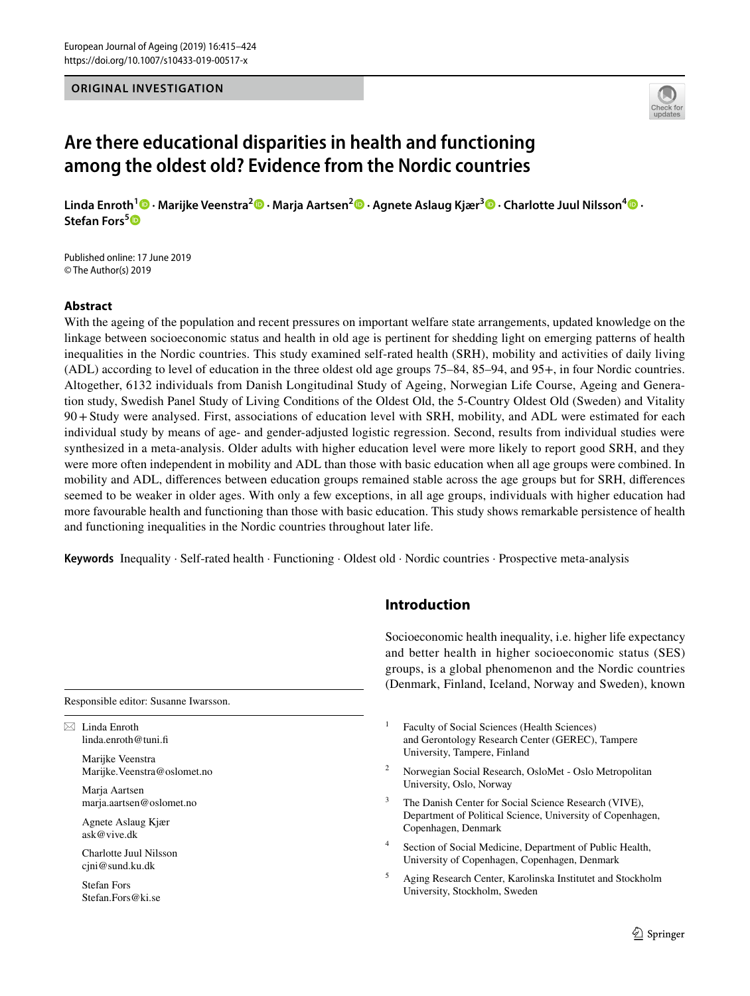## **ORIGINAL INVESTIGATION**



# **Are there educational disparities in health and functioning among the oldest old? Evidence from the Nordic countries**

**Linda Enroth1  [·](http://orcid.org/0000-0001-6613-3154) Marijke Veenstra2  [·](http://orcid.org/0000-0003-1864-929X) Marja Aartsen2  [·](http://orcid.org/0000-0003-4246-7621) Agnete Aslaug Kjær3  [·](http://orcid.org/0000-0003-3644-9689) Charlotte Juul Nilsson[4](http://orcid.org/0000-0002-3364-7412) · Stefan Fors[5](http://orcid.org/0000-0003-2656-8721)**

Published online: 17 June 2019 © The Author(s) 2019

## **Abstract**

With the ageing of the population and recent pressures on important welfare state arrangements, updated knowledge on the linkage between socioeconomic status and health in old age is pertinent for shedding light on emerging patterns of health inequalities in the Nordic countries. This study examined self-rated health (SRH), mobility and activities of daily living (ADL) according to level of education in the three oldest old age groups 75–84, 85–94, and 95+, in four Nordic countries. Altogether, 6132 individuals from Danish Longitudinal Study of Ageing, Norwegian Life Course, Ageing and Generation study, Swedish Panel Study of Living Conditions of the Oldest Old, the 5-Country Oldest Old (Sweden) and Vitality 90+Study were analysed. First, associations of education level with SRH, mobility, and ADL were estimated for each individual study by means of age- and gender-adjusted logistic regression. Second, results from individual studies were synthesized in a meta-analysis. Older adults with higher education level were more likely to report good SRH, and they were more often independent in mobility and ADL than those with basic education when all age groups were combined. In mobility and ADL, diferences between education groups remained stable across the age groups but for SRH, diferences seemed to be weaker in older ages. With only a few exceptions, in all age groups, individuals with higher education had more favourable health and functioning than those with basic education. This study shows remarkable persistence of health and functioning inequalities in the Nordic countries throughout later life.

**Keywords** Inequality · Self-rated health · Functioning · Oldest old · Nordic countries · Prospective meta-analysis

#### Responsible editor: Susanne Iwarsson.

 $\boxtimes$  Linda Enroth linda.enroth@tuni.f

> Marijke Veenstra Marijke.Veenstra@oslomet.no

Maria Aartsen marja.aartsen@oslomet.no

Agnete Aslaug Kjær ask@vive.dk

Charlotte Juul Nilsson cjni@sund.ku.dk

Stefan Fors Stefan.Fors@ki.se

## **Introduction**

Socioeconomic health inequality, i.e. higher life expectancy and better health in higher socioeconomic status (SES) groups, is a global phenomenon and the Nordic countries (Denmark, Finland, Iceland, Norway and Sweden), known

- <sup>1</sup> Faculty of Social Sciences (Health Sciences) and Gerontology Research Center (GEREC), Tampere University, Tampere, Finland
- <sup>2</sup> Norwegian Social Research, OsloMet Oslo Metropolitan University, Oslo, Norway
- The Danish Center for Social Science Research (VIVE), Department of Political Science, University of Copenhagen, Copenhagen, Denmark
- <sup>4</sup> Section of Social Medicine, Department of Public Health, University of Copenhagen, Copenhagen, Denmark
- <sup>5</sup> Aging Research Center, Karolinska Institutet and Stockholm University, Stockholm, Sweden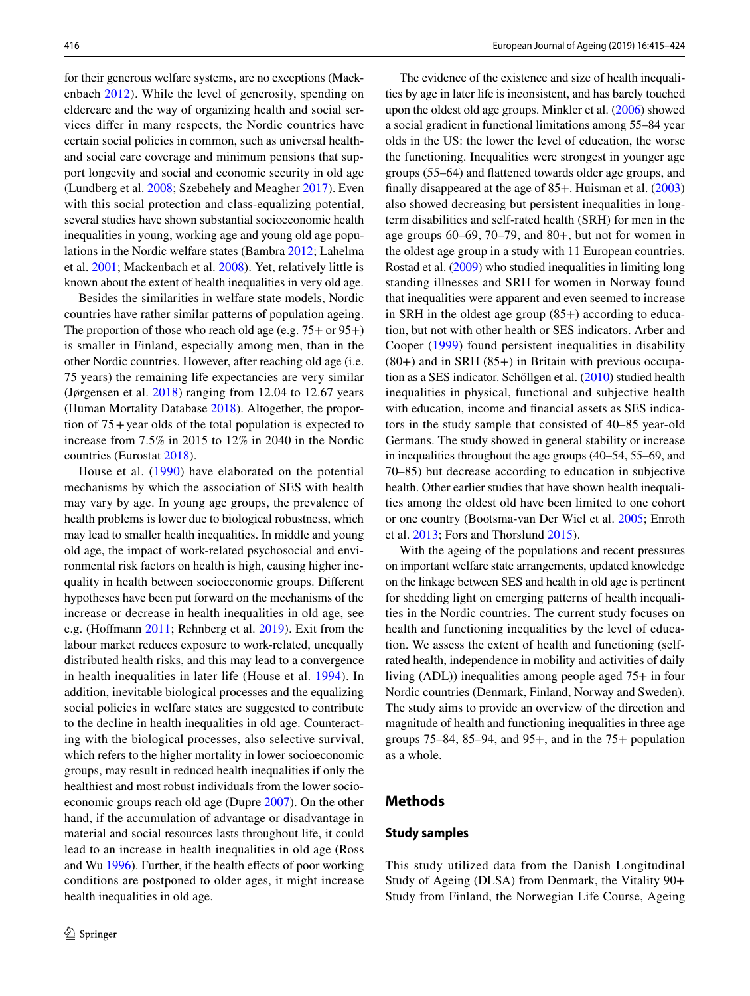for their generous welfare systems, are no exceptions (Mackenbach [2012\)](#page-9-0). While the level of generosity, spending on eldercare and the way of organizing health and social services difer in many respects, the Nordic countries have certain social policies in common, such as universal healthand social care coverage and minimum pensions that support longevity and social and economic security in old age (Lundberg et al. [2008](#page-9-1); Szebehely and Meagher [2017\)](#page-9-2). Even with this social protection and class-equalizing potential, several studies have shown substantial socioeconomic health inequalities in young, working age and young old age populations in the Nordic welfare states (Bambra [2012;](#page-8-0) Lahelma et al. [2001](#page-9-3); Mackenbach et al. [2008\)](#page-9-4). Yet, relatively little is known about the extent of health inequalities in very old age.

Besides the similarities in welfare state models, Nordic countries have rather similar patterns of population ageing. The proportion of those who reach old age (e.g. 75+ or 95+) is smaller in Finland, especially among men, than in the other Nordic countries. However, after reaching old age (i.e. 75 years) the remaining life expectancies are very similar (Jørgensen et al. [2018\)](#page-9-5) ranging from 12.04 to 12.67 years (Human Mortality Database [2018\)](#page-9-6). Altogether, the proportion of 75+year olds of the total population is expected to increase from 7.5% in 2015 to 12% in 2040 in the Nordic countries (Eurostat [2018](#page-8-1)).

House et al. ([1990](#page-8-2)) have elaborated on the potential mechanisms by which the association of SES with health may vary by age. In young age groups, the prevalence of health problems is lower due to biological robustness, which may lead to smaller health inequalities. In middle and young old age, the impact of work-related psychosocial and environmental risk factors on health is high, causing higher inequality in health between socioeconomic groups. Diferent hypotheses have been put forward on the mechanisms of the increase or decrease in health inequalities in old age, see e.g. (Hofmann [2011;](#page-8-3) Rehnberg et al. [2019\)](#page-9-7). Exit from the labour market reduces exposure to work-related, unequally distributed health risks, and this may lead to a convergence in health inequalities in later life (House et al. [1994](#page-8-4)). In addition, inevitable biological processes and the equalizing social policies in welfare states are suggested to contribute to the decline in health inequalities in old age. Counteracting with the biological processes, also selective survival, which refers to the higher mortality in lower socioeconomic groups, may result in reduced health inequalities if only the healthiest and most robust individuals from the lower socioeconomic groups reach old age (Dupre [2007](#page-8-5)). On the other hand, if the accumulation of advantage or disadvantage in material and social resources lasts throughout life, it could lead to an increase in health inequalities in old age (Ross and Wu [1996](#page-9-8)). Further, if the health effects of poor working conditions are postponed to older ages, it might increase health inequalities in old age.

The evidence of the existence and size of health inequalities by age in later life is inconsistent, and has barely touched upon the oldest old age groups. Minkler et al. [\(2006\)](#page-9-9) showed a social gradient in functional limitations among 55–84 year olds in the US: the lower the level of education, the worse the functioning. Inequalities were strongest in younger age groups (55–64) and fattened towards older age groups, and finally disappeared at the age of 85+. Huisman et al. ([2003\)](#page-9-10) also showed decreasing but persistent inequalities in longterm disabilities and self-rated health (SRH) for men in the age groups 60–69, 70–79, and 80+, but not for women in the oldest age group in a study with 11 European countries. Rostad et al. [\(2009\)](#page-9-11) who studied inequalities in limiting long standing illnesses and SRH for women in Norway found that inequalities were apparent and even seemed to increase in SRH in the oldest age group (85+) according to education, but not with other health or SES indicators. Arber and Cooper ([1999](#page-8-6)) found persistent inequalities in disability  $(80+)$  and in SRH  $(85+)$  in Britain with previous occupation as a SES indicator. Schöllgen et al. [\(2010](#page-9-12)) studied health inequalities in physical, functional and subjective health with education, income and fnancial assets as SES indicators in the study sample that consisted of 40–85 year-old Germans. The study showed in general stability or increase in inequalities throughout the age groups (40–54, 55–69, and 70–85) but decrease according to education in subjective health. Other earlier studies that have shown health inequalities among the oldest old have been limited to one cohort or one country (Bootsma-van Der Wiel et al. [2005](#page-8-7); Enroth et al. [2013](#page-8-8); Fors and Thorslund [2015](#page-8-9)).

With the ageing of the populations and recent pressures on important welfare state arrangements, updated knowledge on the linkage between SES and health in old age is pertinent for shedding light on emerging patterns of health inequalities in the Nordic countries. The current study focuses on health and functioning inequalities by the level of education. We assess the extent of health and functioning (selfrated health, independence in mobility and activities of daily living (ADL)) inequalities among people aged 75+ in four Nordic countries (Denmark, Finland, Norway and Sweden). The study aims to provide an overview of the direction and magnitude of health and functioning inequalities in three age groups  $75-84$ ,  $85-94$ , and  $95+$ , and in the  $75+$  population as a whole.

## **Methods**

### **Study samples**

This study utilized data from the Danish Longitudinal Study of Ageing (DLSA) from Denmark, the Vitality 90+ Study from Finland, the Norwegian Life Course, Ageing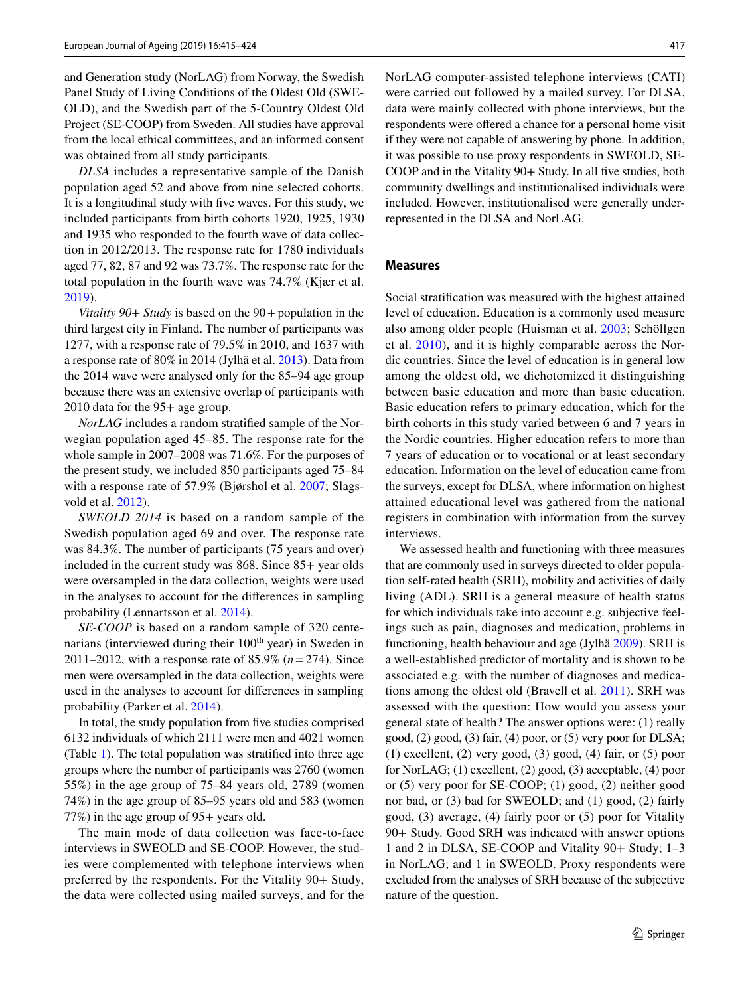and Generation study (NorLAG) from Norway, the Swedish Panel Study of Living Conditions of the Oldest Old (SWE-OLD), and the Swedish part of the 5-Country Oldest Old Project (SE-COOP) from Sweden. All studies have approval from the local ethical committees, and an informed consent was obtained from all study participants.

*DLSA* includes a representative sample of the Danish population aged 52 and above from nine selected cohorts. It is a longitudinal study with fve waves. For this study, we included participants from birth cohorts 1920, 1925, 1930 and 1935 who responded to the fourth wave of data collection in 2012/2013. The response rate for 1780 individuals aged 77, 82, 87 and 92 was 73.7%. The response rate for the total population in the fourth wave was 74.7% (Kjær et al. [2019](#page-9-13)).

*Vitality 90*+ *Study* is based on the 90+population in the third largest city in Finland. The number of participants was 1277, with a response rate of 79.5% in 2010, and 1637 with a response rate of 80% in 2014 (Jylhä et al. [2013\)](#page-9-14). Data from the 2014 wave were analysed only for the 85–94 age group because there was an extensive overlap of participants with 2010 data for the 95+ age group.

*NorLAG* includes a random stratifed sample of the Norwegian population aged 45–85. The response rate for the whole sample in 2007–2008 was 71.6%. For the purposes of the present study, we included 850 participants aged 75–84 with a response rate of 57.9% (Bjørshol et al. [2007](#page-8-10); Slagsvold et al. [2012](#page-9-15)).

*SWEOLD 2014* is based on a random sample of the Swedish population aged 69 and over. The response rate was 84.3%. The number of participants (75 years and over) included in the current study was 868. Since 85+ year olds were oversampled in the data collection, weights were used in the analyses to account for the diferences in sampling probability (Lennartsson et al. [2014](#page-9-16)).

*SE*-*COOP* is based on a random sample of 320 centenarians (interviewed during their  $100<sup>th</sup>$  year) in Sweden in 2011–2012, with a response rate of 85.9% (*n*=274). Since men were oversampled in the data collection, weights were used in the analyses to account for diferences in sampling probability (Parker et al. [2014\)](#page-9-17).

In total, the study population from fve studies comprised 6132 individuals of which 2111 were men and 4021 women (Table [1\)](#page-3-0). The total population was stratifed into three age groups where the number of participants was 2760 (women 55%) in the age group of 75–84 years old, 2789 (women 74%) in the age group of 85–95 years old and 583 (women 77%) in the age group of 95+ years old.

The main mode of data collection was face-to-face interviews in SWEOLD and SE-COOP. However, the studies were complemented with telephone interviews when preferred by the respondents. For the Vitality 90+ Study, the data were collected using mailed surveys, and for the NorLAG computer-assisted telephone interviews (CATI) were carried out followed by a mailed survey. For DLSA, data were mainly collected with phone interviews, but the respondents were offered a chance for a personal home visit if they were not capable of answering by phone. In addition, it was possible to use proxy respondents in SWEOLD, SE-COOP and in the Vitality 90+ Study. In all fve studies, both community dwellings and institutionalised individuals were included. However, institutionalised were generally underrepresented in the DLSA and NorLAG.

#### **Measures**

Social stratifcation was measured with the highest attained level of education. Education is a commonly used measure also among older people (Huisman et al. [2003;](#page-9-10) Schöllgen et al. [2010](#page-9-12)), and it is highly comparable across the Nordic countries. Since the level of education is in general low among the oldest old, we dichotomized it distinguishing between basic education and more than basic education. Basic education refers to primary education, which for the birth cohorts in this study varied between 6 and 7 years in the Nordic countries. Higher education refers to more than 7 years of education or to vocational or at least secondary education. Information on the level of education came from the surveys, except for DLSA, where information on highest attained educational level was gathered from the national registers in combination with information from the survey interviews.

We assessed health and functioning with three measures that are commonly used in surveys directed to older population self-rated health (SRH), mobility and activities of daily living (ADL). SRH is a general measure of health status for which individuals take into account e.g. subjective feelings such as pain, diagnoses and medication, problems in functioning, health behaviour and age (Jylhä [2009](#page-9-18)). SRH is a well-established predictor of mortality and is shown to be associated e.g. with the number of diagnoses and medications among the oldest old (Bravell et al. [2011](#page-8-11)). SRH was assessed with the question: How would you assess your general state of health? The answer options were: (1) really good, (2) good, (3) fair, (4) poor, or (5) very poor for DLSA; (1) excellent, (2) very good, (3) good, (4) fair, or (5) poor for NorLAG; (1) excellent, (2) good, (3) acceptable, (4) poor or (5) very poor for SE-COOP; (1) good, (2) neither good nor bad, or (3) bad for SWEOLD; and (1) good, (2) fairly good, (3) average, (4) fairly poor or (5) poor for Vitality 90+ Study. Good SRH was indicated with answer options 1 and 2 in DLSA, SE-COOP and Vitality 90+ Study; 1–3 in NorLAG; and 1 in SWEOLD. Proxy respondents were excluded from the analyses of SRH because of the subjective nature of the question.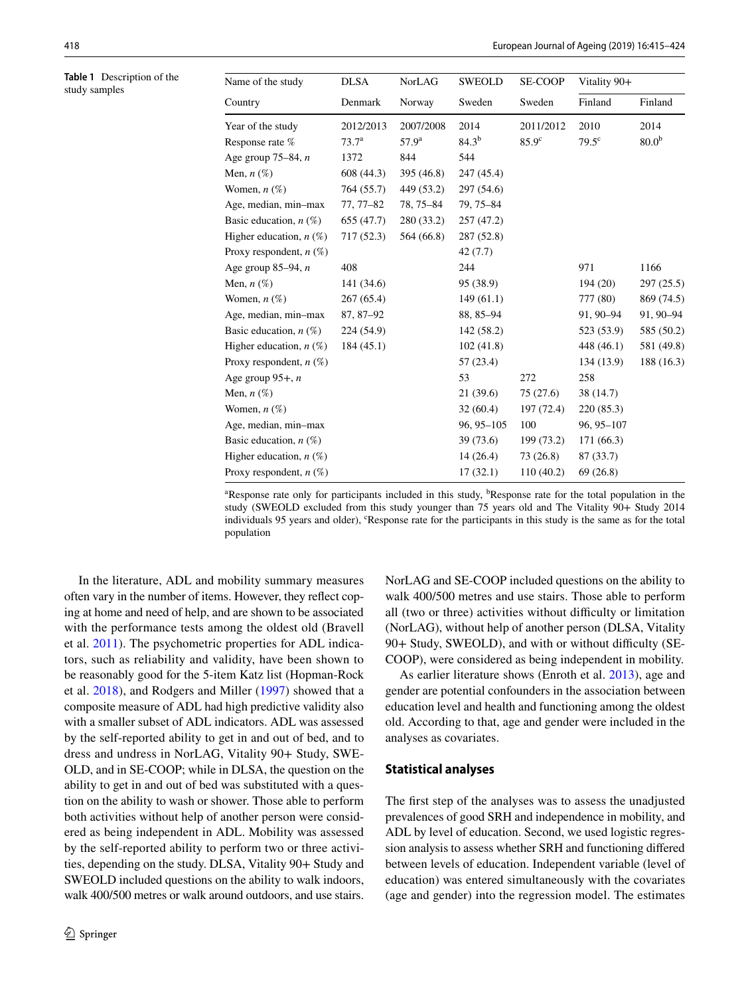<span id="page-3-0"></span>**Table 1** Description of the study samples

| Sweden<br>Denmark<br>Sweden<br>Finland<br>Finland<br>Norway<br>2014<br>2010<br>2014<br>2012/2013<br>2007/2008<br>2011/2012<br>$84.3^{b}$<br>80.0 <sup>b</sup><br>85.9 <sup>c</sup><br>79.5 <sup>c</sup><br>73.7 <sup>a</sup><br>57.9 <sup>a</sup><br>544<br>844<br>1372<br>608 (44.3)<br>395 (46.8)<br>247 (45.4)<br>764 (55.7)<br>449 (53.2)<br>297 (54.6)<br>79, 75-84<br>77, 77–82<br>78, 75-84<br>655 (47.7)<br>280 (33.2)<br>257 (47.2)<br>564 (66.8)<br>717 (52.3)<br>287 (52.8)<br>42 (7.7)<br>1166<br>408<br>244<br>971<br>141 (34.6)<br>95 (38.9)<br>194(20)<br>297 (25.5)<br>267(65.4)<br>149(61.1)<br>777 (80)<br>869 (74.5)<br>88, 85-94<br>87, 87–92<br>91, 90-94<br>91, 90-94<br>585 (50.2)<br>224 (54.9)<br>142 (58.2)<br>523 (53.9)<br>102(41.8)<br>581 (49.8)<br>184(45.1)<br>448 (46.1)<br>57 (23.4)<br>134 (13.9)<br>188 (16.3)<br>53<br>272<br>258<br>21 (39.6)<br>75 (27.6)<br>38 (14.7)<br>32(60.4)<br>220 (85.3)<br>197 (72.4)<br>100<br>$96, 95 - 105$<br>96, 95-107<br>39 (73.6)<br>199 (73.2)<br>171 (66.3)<br>73 (26.8)<br>14(26.4)<br>87 (33.7)<br>17(32.1)<br>110(40.2)<br>69(26.8) | Name of the study          | <b>DLSA</b> | NorLAG | SWEOLD | <b>SE-COOP</b> | Vitality 90+ |  |  |
|------------------------------------------------------------------------------------------------------------------------------------------------------------------------------------------------------------------------------------------------------------------------------------------------------------------------------------------------------------------------------------------------------------------------------------------------------------------------------------------------------------------------------------------------------------------------------------------------------------------------------------------------------------------------------------------------------------------------------------------------------------------------------------------------------------------------------------------------------------------------------------------------------------------------------------------------------------------------------------------------------------------------------------------------------------------------------------------------------------------|----------------------------|-------------|--------|--------|----------------|--------------|--|--|
|                                                                                                                                                                                                                                                                                                                                                                                                                                                                                                                                                                                                                                                                                                                                                                                                                                                                                                                                                                                                                                                                                                                  | Country                    |             |        |        |                |              |  |  |
|                                                                                                                                                                                                                                                                                                                                                                                                                                                                                                                                                                                                                                                                                                                                                                                                                                                                                                                                                                                                                                                                                                                  | Year of the study          |             |        |        |                |              |  |  |
|                                                                                                                                                                                                                                                                                                                                                                                                                                                                                                                                                                                                                                                                                                                                                                                                                                                                                                                                                                                                                                                                                                                  | Response rate $%$          |             |        |        |                |              |  |  |
|                                                                                                                                                                                                                                                                                                                                                                                                                                                                                                                                                                                                                                                                                                                                                                                                                                                                                                                                                                                                                                                                                                                  | Age group $75-84$ , n      |             |        |        |                |              |  |  |
|                                                                                                                                                                                                                                                                                                                                                                                                                                                                                                                                                                                                                                                                                                                                                                                                                                                                                                                                                                                                                                                                                                                  | Men, $n$ $(\%)$            |             |        |        |                |              |  |  |
|                                                                                                                                                                                                                                                                                                                                                                                                                                                                                                                                                                                                                                                                                                                                                                                                                                                                                                                                                                                                                                                                                                                  | Women, $n(\%)$             |             |        |        |                |              |  |  |
|                                                                                                                                                                                                                                                                                                                                                                                                                                                                                                                                                                                                                                                                                                                                                                                                                                                                                                                                                                                                                                                                                                                  | Age, median, min-max       |             |        |        |                |              |  |  |
|                                                                                                                                                                                                                                                                                                                                                                                                                                                                                                                                                                                                                                                                                                                                                                                                                                                                                                                                                                                                                                                                                                                  | Basic education, $n$ (%)   |             |        |        |                |              |  |  |
|                                                                                                                                                                                                                                                                                                                                                                                                                                                                                                                                                                                                                                                                                                                                                                                                                                                                                                                                                                                                                                                                                                                  | Higher education, $n(\%)$  |             |        |        |                |              |  |  |
|                                                                                                                                                                                                                                                                                                                                                                                                                                                                                                                                                                                                                                                                                                                                                                                                                                                                                                                                                                                                                                                                                                                  | Proxy respondent, $n(\%)$  |             |        |        |                |              |  |  |
|                                                                                                                                                                                                                                                                                                                                                                                                                                                                                                                                                                                                                                                                                                                                                                                                                                                                                                                                                                                                                                                                                                                  | Age group $85-94$ , n      |             |        |        |                |              |  |  |
|                                                                                                                                                                                                                                                                                                                                                                                                                                                                                                                                                                                                                                                                                                                                                                                                                                                                                                                                                                                                                                                                                                                  | Men, $n$ $(\%)$            |             |        |        |                |              |  |  |
|                                                                                                                                                                                                                                                                                                                                                                                                                                                                                                                                                                                                                                                                                                                                                                                                                                                                                                                                                                                                                                                                                                                  | Women, $n(\%)$             |             |        |        |                |              |  |  |
|                                                                                                                                                                                                                                                                                                                                                                                                                                                                                                                                                                                                                                                                                                                                                                                                                                                                                                                                                                                                                                                                                                                  | Age, median, min-max       |             |        |        |                |              |  |  |
|                                                                                                                                                                                                                                                                                                                                                                                                                                                                                                                                                                                                                                                                                                                                                                                                                                                                                                                                                                                                                                                                                                                  | Basic education, $n$ (%)   |             |        |        |                |              |  |  |
|                                                                                                                                                                                                                                                                                                                                                                                                                                                                                                                                                                                                                                                                                                                                                                                                                                                                                                                                                                                                                                                                                                                  | Higher education, $n(\%)$  |             |        |        |                |              |  |  |
|                                                                                                                                                                                                                                                                                                                                                                                                                                                                                                                                                                                                                                                                                                                                                                                                                                                                                                                                                                                                                                                                                                                  | Proxy respondent, $n(\%)$  |             |        |        |                |              |  |  |
|                                                                                                                                                                                                                                                                                                                                                                                                                                                                                                                                                                                                                                                                                                                                                                                                                                                                                                                                                                                                                                                                                                                  | Age group $95+$ , <i>n</i> |             |        |        |                |              |  |  |
|                                                                                                                                                                                                                                                                                                                                                                                                                                                                                                                                                                                                                                                                                                                                                                                                                                                                                                                                                                                                                                                                                                                  | Men, $n$ $(\%)$            |             |        |        |                |              |  |  |
|                                                                                                                                                                                                                                                                                                                                                                                                                                                                                                                                                                                                                                                                                                                                                                                                                                                                                                                                                                                                                                                                                                                  | Women, $n(\%)$             |             |        |        |                |              |  |  |
|                                                                                                                                                                                                                                                                                                                                                                                                                                                                                                                                                                                                                                                                                                                                                                                                                                                                                                                                                                                                                                                                                                                  | Age, median, min-max       |             |        |        |                |              |  |  |
|                                                                                                                                                                                                                                                                                                                                                                                                                                                                                                                                                                                                                                                                                                                                                                                                                                                                                                                                                                                                                                                                                                                  | Basic education, $n$ (%)   |             |        |        |                |              |  |  |
|                                                                                                                                                                                                                                                                                                                                                                                                                                                                                                                                                                                                                                                                                                                                                                                                                                                                                                                                                                                                                                                                                                                  | Higher education, $n(\%)$  |             |        |        |                |              |  |  |
|                                                                                                                                                                                                                                                                                                                                                                                                                                                                                                                                                                                                                                                                                                                                                                                                                                                                                                                                                                                                                                                                                                                  | Proxy respondent, $n(\%)$  |             |        |        |                |              |  |  |

<sup>a</sup>Response rate only for participants included in this study, <sup>b</sup>Response rate for the total population in the study (SWEOLD excluded from this study younger than 75 years old and The Vitality 90+ Study 2014 individuals 95 years and older), 'Response rate for the participants in this study is the same as for the total population

In the literature, ADL and mobility summary measures often vary in the number of items. However, they refect coping at home and need of help, and are shown to be associated with the performance tests among the oldest old (Bravell et al. [2011](#page-8-11)). The psychometric properties for ADL indicators, such as reliability and validity, have been shown to be reasonably good for the 5-item Katz list (Hopman-Rock et al. [2018](#page-8-12)), and Rodgers and Miller [\(1997\)](#page-9-19) showed that a composite measure of ADL had high predictive validity also with a smaller subset of ADL indicators. ADL was assessed by the self-reported ability to get in and out of bed, and to dress and undress in NorLAG, Vitality 90+ Study, SWE-OLD, and in SE-COOP; while in DLSA, the question on the ability to get in and out of bed was substituted with a question on the ability to wash or shower. Those able to perform both activities without help of another person were considered as being independent in ADL. Mobility was assessed by the self-reported ability to perform two or three activities, depending on the study. DLSA, Vitality 90+ Study and SWEOLD included questions on the ability to walk indoors, walk 400/500 metres or walk around outdoors, and use stairs.

NorLAG and SE-COOP included questions on the ability to walk 400/500 metres and use stairs. Those able to perform all (two or three) activities without difficulty or limitation (NorLAG), without help of another person (DLSA, Vitality 90+ Study, SWEOLD), and with or without difficulty (SE-COOP), were considered as being independent in mobility.

As earlier literature shows (Enroth et al. [2013](#page-8-8)), age and gender are potential confounders in the association between education level and health and functioning among the oldest old. According to that, age and gender were included in the analyses as covariates.

#### **Statistical analyses**

The frst step of the analyses was to assess the unadjusted prevalences of good SRH and independence in mobility, and ADL by level of education. Second, we used logistic regression analysis to assess whether SRH and functioning difered between levels of education. Independent variable (level of education) was entered simultaneously with the covariates (age and gender) into the regression model. The estimates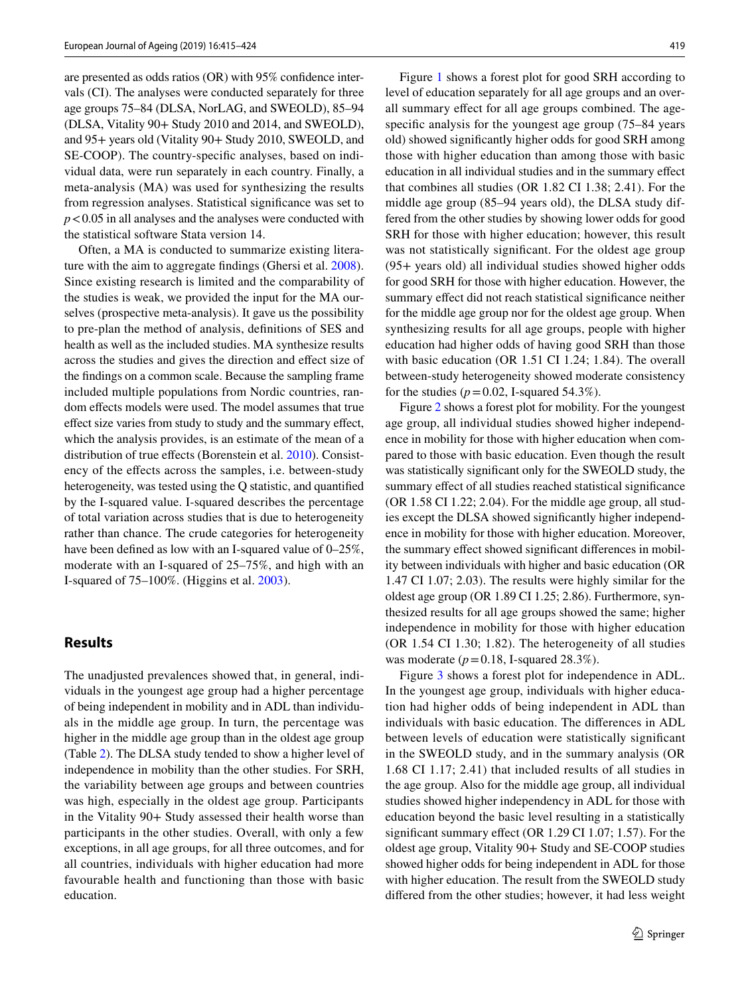are presented as odds ratios (OR) with 95% confdence intervals (CI). The analyses were conducted separately for three age groups 75–84 (DLSA, NorLAG, and SWEOLD), 85–94 (DLSA, Vitality 90+ Study 2010 and 2014, and SWEOLD), and 95+ years old (Vitality 90+ Study 2010, SWEOLD, and SE-COOP). The country-specifc analyses, based on individual data, were run separately in each country. Finally, a meta-analysis (MA) was used for synthesizing the results from regression analyses. Statistical signifcance was set to *p*<0.05 in all analyses and the analyses were conducted with the statistical software Stata version 14.

Often, a MA is conducted to summarize existing literature with the aim to aggregate fndings (Ghersi et al. [2008](#page-8-13)). Since existing research is limited and the comparability of the studies is weak, we provided the input for the MA ourselves (prospective meta-analysis). It gave us the possibility to pre-plan the method of analysis, defnitions of SES and health as well as the included studies. MA synthesize results across the studies and gives the direction and efect size of the fndings on a common scale. Because the sampling frame included multiple populations from Nordic countries, random effects models were used. The model assumes that true efect size varies from study to study and the summary efect, which the analysis provides, is an estimate of the mean of a distribution of true effects (Borenstein et al. [2010\)](#page-8-14). Consistency of the efects across the samples, i.e. between-study heterogeneity, was tested using the Q statistic, and quantifed by the I-squared value. I-squared describes the percentage of total variation across studies that is due to heterogeneity rather than chance. The crude categories for heterogeneity have been defined as low with an I-squared value of  $0-25\%$ , moderate with an I-squared of 25–75%, and high with an I-squared of 75–100%. (Higgins et al. [2003](#page-8-15)).

## **Results**

The unadjusted prevalences showed that, in general, individuals in the youngest age group had a higher percentage of being independent in mobility and in ADL than individuals in the middle age group. In turn, the percentage was higher in the middle age group than in the oldest age group (Table [2](#page-5-0)). The DLSA study tended to show a higher level of independence in mobility than the other studies. For SRH, the variability between age groups and between countries was high, especially in the oldest age group. Participants in the Vitality 90+ Study assessed their health worse than participants in the other studies. Overall, with only a few exceptions, in all age groups, for all three outcomes, and for all countries, individuals with higher education had more favourable health and functioning than those with basic education.

Figure [1](#page-6-0) shows a forest plot for good SRH according to level of education separately for all age groups and an overall summary efect for all age groups combined. The agespecific analysis for the youngest age group (75–84 years old) showed signifcantly higher odds for good SRH among those with higher education than among those with basic education in all individual studies and in the summary efect that combines all studies (OR 1.82 CI 1.38; 2.41). For the middle age group (85–94 years old), the DLSA study differed from the other studies by showing lower odds for good SRH for those with higher education; however, this result was not statistically signifcant. For the oldest age group (95+ years old) all individual studies showed higher odds for good SRH for those with higher education. However, the summary effect did not reach statistical significance neither for the middle age group nor for the oldest age group. When synthesizing results for all age groups, people with higher education had higher odds of having good SRH than those with basic education (OR 1.51 CI 1.24; 1.84). The overall between-study heterogeneity showed moderate consistency for the studies  $(p=0.02, 1$ -squared 54.3%).

Figure [2](#page-6-1) shows a forest plot for mobility. For the youngest age group, all individual studies showed higher independence in mobility for those with higher education when compared to those with basic education. Even though the result was statistically signifcant only for the SWEOLD study, the summary effect of all studies reached statistical significance (OR 1.58 CI 1.22; 2.04). For the middle age group, all studies except the DLSA showed signifcantly higher independence in mobility for those with higher education. Moreover, the summary efect showed signifcant diferences in mobility between individuals with higher and basic education (OR 1.47 CI 1.07; 2.03). The results were highly similar for the oldest age group (OR 1.89 CI 1.25; 2.86). Furthermore, synthesized results for all age groups showed the same; higher independence in mobility for those with higher education (OR 1.54 CI 1.30; 1.82). The heterogeneity of all studies was moderate  $(p=0.18, I-squared 28.3\%).$ 

Figure [3](#page-7-0) shows a forest plot for independence in ADL. In the youngest age group, individuals with higher education had higher odds of being independent in ADL than individuals with basic education. The diferences in ADL between levels of education were statistically signifcant in the SWEOLD study, and in the summary analysis (OR 1.68 CI 1.17; 2.41) that included results of all studies in the age group. Also for the middle age group, all individual studies showed higher independency in ADL for those with education beyond the basic level resulting in a statistically signifcant summary efect (OR 1.29 CI 1.07; 1.57). For the oldest age group, Vitality 90+ Study and SE-COOP studies showed higher odds for being independent in ADL for those with higher education. The result from the SWEOLD study difered from the other studies; however, it had less weight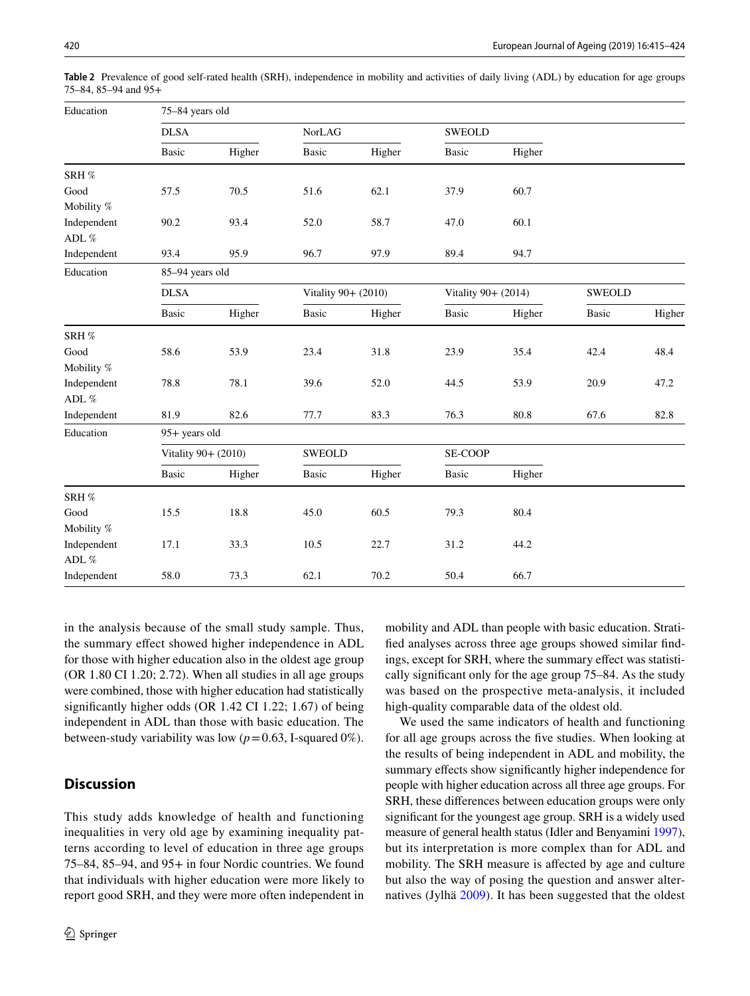| Education   | 75-84 years old     |        |                     |        |                     |               |        |        |  |  |
|-------------|---------------------|--------|---------------------|--------|---------------------|---------------|--------|--------|--|--|
|             | <b>DLSA</b>         |        | NorLAG              |        |                     | <b>SWEOLD</b> |        |        |  |  |
|             | Basic               | Higher | <b>Basic</b>        | Higher | <b>Basic</b>        | Higher        |        |        |  |  |
| SRH %       |                     |        |                     |        |                     |               |        |        |  |  |
| Good        | 57.5                | 70.5   | 51.6                | 62.1   | 37.9                | 60.7          |        |        |  |  |
| Mobility %  |                     |        |                     |        |                     |               |        |        |  |  |
| Independent | 90.2                | 93.4   | 52.0                | 58.7   | 47.0                | 60.1          |        |        |  |  |
| ADL $\%$    |                     |        |                     |        |                     |               |        |        |  |  |
| Independent | 93.4                | 95.9   | 96.7                | 97.9   | 89.4                | 94.7          |        |        |  |  |
| Education   | 85-94 years old     |        |                     |        |                     |               |        |        |  |  |
|             | <b>DLSA</b>         |        | Vitality 90+ (2010) |        | Vitality 90+ (2014) |               | SWEOLD |        |  |  |
|             | <b>Basic</b>        | Higher | Basic               | Higher | Basic               | Higher        | Basic  | Higher |  |  |
| SRH %       |                     |        |                     |        |                     |               |        |        |  |  |
| Good        | 58.6                | 53.9   | 23.4                | 31.8   | 23.9                | 35.4          | 42.4   | 48.4   |  |  |
| Mobility %  |                     |        |                     |        |                     |               |        |        |  |  |
| Independent | 78.8                | 78.1   | 39.6                | 52.0   | 44.5                | 53.9          | 20.9   | 47.2   |  |  |
| ADL $\%$    |                     |        |                     |        |                     |               |        |        |  |  |
| Independent | 81.9                | 82.6   | 77.7                | 83.3   | 76.3                | 80.8          | 67.6   | 82.8   |  |  |
| Education   | 95+ years old       |        |                     |        |                     |               |        |        |  |  |
|             | Vitality 90+ (2010) |        | SWEOLD              |        | SE-COOP             |               |        |        |  |  |
|             | Basic               | Higher | Basic               | Higher | <b>Basic</b>        | Higher        |        |        |  |  |
| SRH %       |                     |        |                     |        |                     |               |        |        |  |  |
| Good        | 15.5                | 18.8   | 45.0                | 60.5   | 79.3                | 80.4          |        |        |  |  |
| Mobility %  |                     |        |                     |        |                     |               |        |        |  |  |
| Independent | 17.1                | 33.3   | 10.5                | 22.7   | 31.2                | 44.2          |        |        |  |  |
| ADL $\%$    |                     |        |                     |        |                     |               |        |        |  |  |
| Independent | 58.0                | 73.3   | 62.1                | 70.2   | 50.4                | 66.7          |        |        |  |  |

<span id="page-5-0"></span>**Table 2** Prevalence of good self-rated health (SRH), independence in mobility and activities of daily living (ADL) by education for age groups 75–84, 85–94 and 95+

in the analysis because of the small study sample. Thus, the summary efect showed higher independence in ADL for those with higher education also in the oldest age group (OR 1.80 CI 1.20; 2.72). When all studies in all age groups were combined, those with higher education had statistically signifcantly higher odds (OR 1.42 CI 1.22; 1.67) of being independent in ADL than those with basic education. The between-study variability was low  $(p=0.63, I-squared 0\%).$ 

# **Discussion**

This study adds knowledge of health and functioning inequalities in very old age by examining inequality patterns according to level of education in three age groups 75–84, 85–94, and 95+ in four Nordic countries. We found that individuals with higher education were more likely to report good SRH, and they were more often independent in mobility and ADL than people with basic education. Stratifed analyses across three age groups showed similar fndings, except for SRH, where the summary effect was statistically signifcant only for the age group 75–84. As the study was based on the prospective meta-analysis, it included high-quality comparable data of the oldest old.

We used the same indicators of health and functioning for all age groups across the fve studies. When looking at the results of being independent in ADL and mobility, the summary effects show significantly higher independence for people with higher education across all three age groups. For SRH, these diferences between education groups were only signifcant for the youngest age group. SRH is a widely used measure of general health status (Idler and Benyamini [1997](#page-9-20)), but its interpretation is more complex than for ADL and mobility. The SRH measure is afected by age and culture but also the way of posing the question and answer alternatives (Jylhä [2009\)](#page-9-18). It has been suggested that the oldest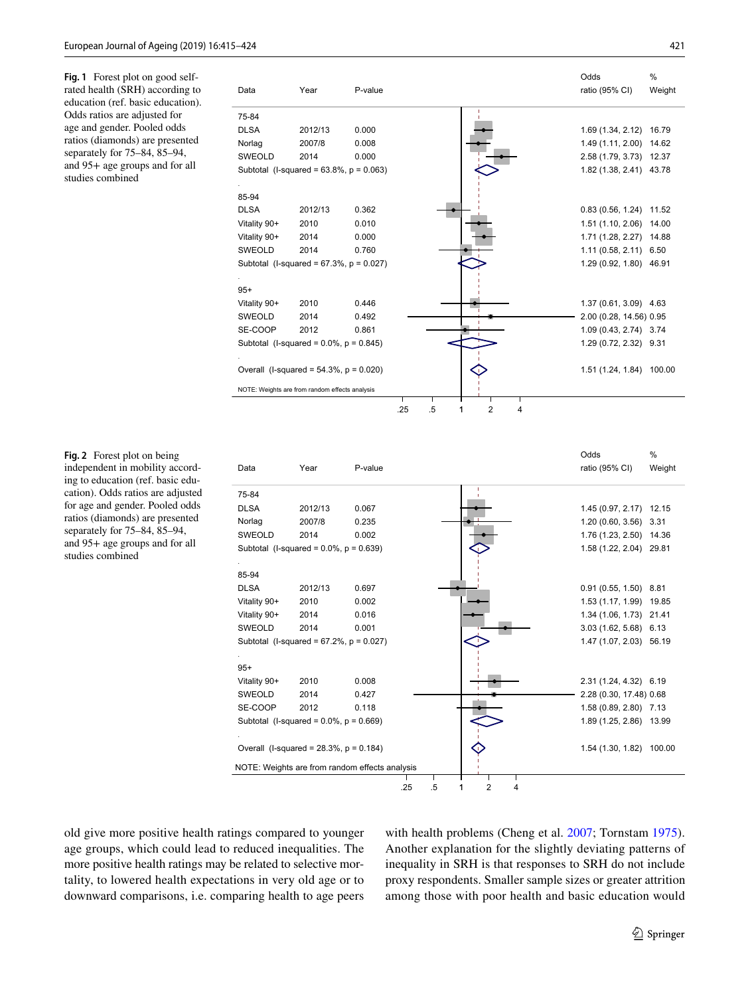<span id="page-6-0"></span>**Fig. 1** Forest plot on good selfrated health (SRH) according to education (ref. basic education). Odds ratios are adjusted for age and gender. Pooled odds ratios (diamonds) are presented separately for 75–84, 85–94, and 95+ age groups and for all studies combined

|               |                                                |         |    |   |   | Odds                    | %      |
|---------------|------------------------------------------------|---------|----|---|---|-------------------------|--------|
| Data          | Year                                           | P-value |    |   |   | ratio (95% CI)          | Weight |
| 75-84         |                                                |         |    |   |   |                         |        |
| <b>DLSA</b>   | 2012/13                                        | 0.000   |    |   |   | 1.69 (1.34, 2.12)       | 16.79  |
| Norlag        | 2007/8                                         | 0.008   |    |   |   | 1.49 (1.11, 2.00)       | 14.62  |
| <b>SWEOLD</b> | 2014                                           | 0.000   |    |   |   | 2.58 (1.79, 3.73)       | 12.37  |
|               | Subtotal (I-squared = $63.8\%$ , $p = 0.063$ ) |         |    |   |   | 1.82 (1.38, 2.41) 43.78 |        |
|               |                                                |         |    |   |   |                         |        |
| 85-94         |                                                |         |    |   |   |                         |        |
| <b>DLSA</b>   | 2012/13                                        | 0.362   |    |   |   | 0.83(0.56, 1.24)        | 11.52  |
| Vitality 90+  | 2010                                           | 0.010   |    |   |   | 1.51(1.10, 2.06)        | 14.00  |
| Vitality 90+  | 2014                                           | 0.000   |    |   |   | 1.71(1.28, 2.27)        | 14.88  |
| <b>SWEOLD</b> | 2014                                           | 0.760   |    |   |   | $1.11(0.58, 2.11)$ 6.50 |        |
|               | Subtotal (I-squared = $67.3\%$ , $p = 0.027$ ) |         |    |   |   | 1.29 (0.92, 1.80) 46.91 |        |
|               |                                                |         |    |   |   |                         |        |
| $95+$         |                                                |         |    |   |   |                         |        |
| Vitality 90+  | 2010                                           | 0.446   |    |   |   | 1.37 (0.61, 3.09) 4.63  |        |
| <b>SWEOLD</b> | 2014                                           | 0.492   |    |   |   | 2.00 (0.28, 14.56) 0.95 |        |
| SE-COOP       | 2012                                           | 0.861   |    |   |   | 1.09 (0.43, 2.74) 3.74  |        |
|               | Subtotal (I-squared = $0.0\%$ , $p = 0.845$ )  |         |    |   |   | 1.29 (0.72, 2.32) 9.31  |        |
|               |                                                |         |    |   |   |                         |        |
|               | Overall (I-squared = $54.3\%$ , $p = 0.020$ )  |         |    |   |   | 1.51 (1.24, 1.84)       | 100.00 |
|               |                                                |         |    |   |   |                         |        |
|               | NOTE: Weights are from random effects analysis |         |    |   |   |                         |        |
|               |                                                | .25     | .5 | 2 | 4 |                         |        |

<span id="page-6-1"></span>**Fig. 2** Forest plot on being independent in mobility according to education (ref. basic education). Odds ratios are adjusted for age and gender. Pooled odds ratios (diamonds) are presented separately for 75–84, 85–94, and 95+ age groups and for all studies combined

|                                                |         |                                                |    |        |   | Odds                    | %      |
|------------------------------------------------|---------|------------------------------------------------|----|--------|---|-------------------------|--------|
| Data                                           | Year    | P-value                                        |    |        |   | ratio (95% CI)          | Weight |
| 75-84                                          |         |                                                |    |        |   |                         |        |
| <b>DLSA</b>                                    | 2012/13 | 0.067                                          |    |        |   | 1.45 (0.97, 2.17) 12.15 |        |
| Norlag                                         | 2007/8  | 0.235                                          |    |        |   | 1.20 (0.60, 3.56) 3.31  |        |
| <b>SWEOLD</b>                                  | 2014    | 0.002                                          |    |        |   | 1.76 (1.23, 2.50) 14.36 |        |
| Subtotal (I-squared = $0.0\%$ , $p = 0.639$ )  |         |                                                |    |        |   | 1.58 (1.22, 2.04) 29.81 |        |
| 85-94                                          |         |                                                |    |        |   |                         |        |
| <b>DLSA</b>                                    | 2012/13 | 0.697                                          |    |        |   | $0.91(0.55, 1.50)$ 8.81 |        |
| Vitality 90+                                   | 2010    | 0.002                                          |    |        |   | 1.53 (1.17, 1.99) 19.85 |        |
| Vitality 90+                                   | 2014    | 0.016                                          |    |        |   | 1.34 (1.06, 1.73) 21.41 |        |
| <b>SWEOLD</b>                                  | 2014    |                                                |    |        |   |                         |        |
|                                                |         | 0.001                                          |    |        |   | 3.03 (1.62, 5.68) 6.13  |        |
| Subtotal (I-squared = $67.2\%$ , $p = 0.027$ ) |         |                                                |    |        |   | 1.47 (1.07, 2.03) 56.19 |        |
| $95+$                                          |         |                                                |    |        |   |                         |        |
| Vitality 90+                                   | 2010    | 0.008                                          |    |        |   | 2.31 (1.24, 4.32) 6.19  |        |
| <b>SWEOLD</b>                                  | 2014    | 0.427                                          |    |        |   | 2.28 (0.30, 17.48) 0.68 |        |
| SE-COOP                                        | 2012    | 0.118                                          |    |        |   | 1.58 (0.89, 2.80) 7.13  |        |
| Subtotal (I-squared = $0.0\%$ , $p = 0.669$ )  |         |                                                |    |        |   | 1.89 (1.25, 2.86) 13.99 |        |
| Overall (I-squared = $28.3\%$ , p = 0.184)     |         |                                                |    |        |   | 1.54 (1.30, 1.82)       | 100.00 |
|                                                |         | NOTE: Weights are from random effects analysis |    |        |   |                         |        |
|                                                |         | .25                                            | .5 | 2<br>1 | 4 |                         |        |

old give more positive health ratings compared to younger age groups, which could lead to reduced inequalities. The more positive health ratings may be related to selective mortality, to lowered health expectations in very old age or to downward comparisons, i.e. comparing health to age peers with health problems (Cheng et al. [2007;](#page-8-16) Tornstam [1975](#page-9-21)). Another explanation for the slightly deviating patterns of inequality in SRH is that responses to SRH do not include proxy respondents. Smaller sample sizes or greater attrition among those with poor health and basic education would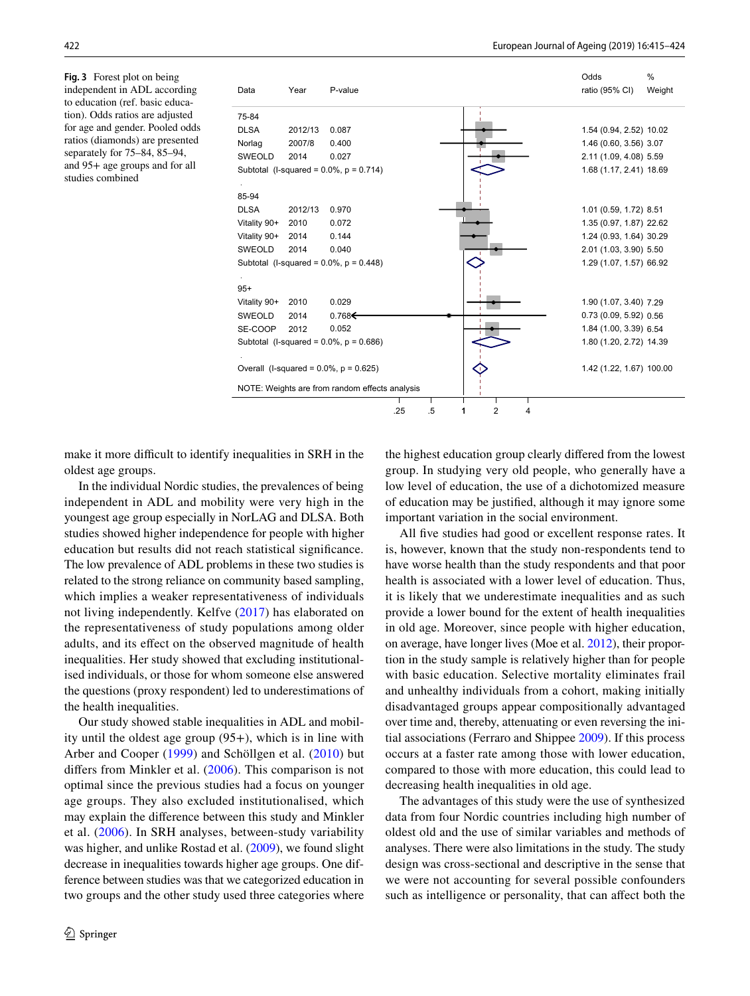<span id="page-7-0"></span>**Fig. 3** Forest plot on being independent in ADL according to education (ref. basic education). Odds ratios are adjusted for age and gender. Pooled odds ratios (diamonds) are presented separately for 75–84, 85–94, and 95+ age groups and for all studies combined



make it more difficult to identify inequalities in SRH in the oldest age groups.

In the individual Nordic studies, the prevalences of being independent in ADL and mobility were very high in the youngest age group especially in NorLAG and DLSA. Both studies showed higher independence for people with higher education but results did not reach statistical signifcance. The low prevalence of ADL problems in these two studies is related to the strong reliance on community based sampling, which implies a weaker representativeness of individuals not living independently. Kelfve [\(2017\)](#page-9-22) has elaborated on the representativeness of study populations among older adults, and its efect on the observed magnitude of health inequalities. Her study showed that excluding institutionalised individuals, or those for whom someone else answered the questions (proxy respondent) led to underestimations of the health inequalities.

Our study showed stable inequalities in ADL and mobility until the oldest age group (95+), which is in line with Arber and Cooper ([1999](#page-8-6)) and Schöllgen et al. ([2010\)](#page-9-12) but difers from Minkler et al. [\(2006\)](#page-9-9). This comparison is not optimal since the previous studies had a focus on younger age groups. They also excluded institutionalised, which may explain the diference between this study and Minkler et al. [\(2006\)](#page-9-9). In SRH analyses, between-study variability was higher, and unlike Rostad et al. ([2009\)](#page-9-11), we found slight decrease in inequalities towards higher age groups. One difference between studies was that we categorized education in two groups and the other study used three categories where the highest education group clearly difered from the lowest group. In studying very old people, who generally have a low level of education, the use of a dichotomized measure of education may be justifed, although it may ignore some important variation in the social environment.

All five studies had good or excellent response rates. It is, however, known that the study non-respondents tend to have worse health than the study respondents and that poor health is associated with a lower level of education. Thus, it is likely that we underestimate inequalities and as such provide a lower bound for the extent of health inequalities in old age. Moreover, since people with higher education, on average, have longer lives (Moe et al. [2012](#page-9-23)), their proportion in the study sample is relatively higher than for people with basic education. Selective mortality eliminates frail and unhealthy individuals from a cohort, making initially disadvantaged groups appear compositionally advantaged over time and, thereby, attenuating or even reversing the initial associations (Ferraro and Shippee [2009\)](#page-8-17). If this process occurs at a faster rate among those with lower education, compared to those with more education, this could lead to decreasing health inequalities in old age.

The advantages of this study were the use of synthesized data from four Nordic countries including high number of oldest old and the use of similar variables and methods of analyses. There were also limitations in the study. The study design was cross-sectional and descriptive in the sense that we were not accounting for several possible confounders such as intelligence or personality, that can affect both the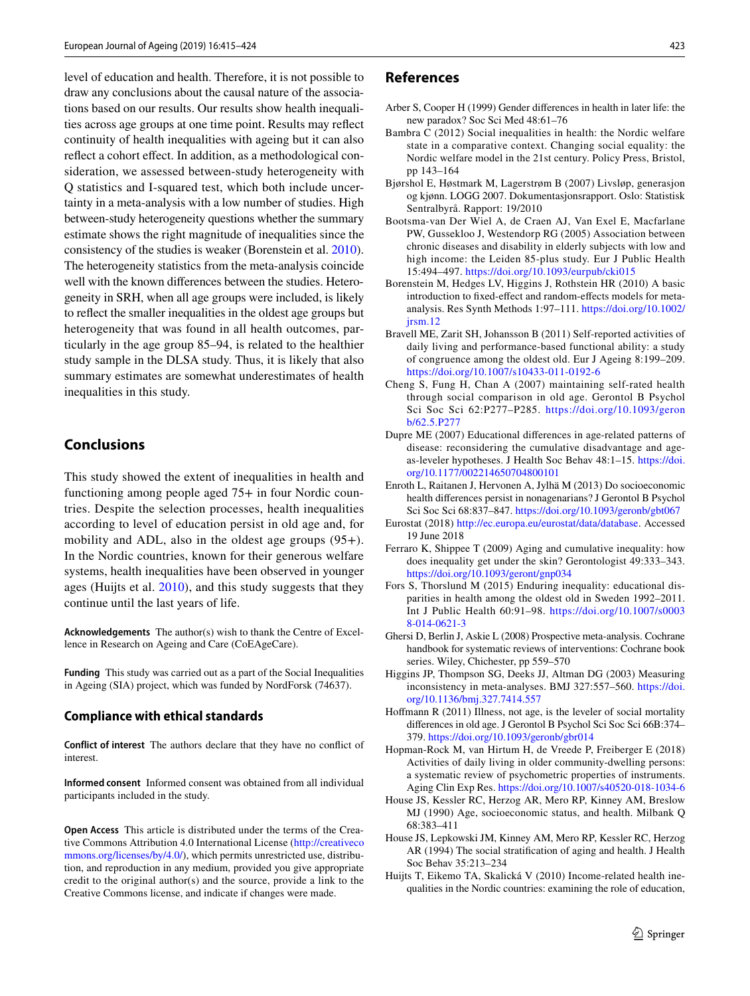level of education and health. Therefore, it is not possible to draw any conclusions about the causal nature of the associations based on our results. Our results show health inequalities across age groups at one time point. Results may refect continuity of health inequalities with ageing but it can also reflect a cohort effect. In addition, as a methodological consideration, we assessed between-study heterogeneity with Q statistics and I-squared test, which both include uncertainty in a meta-analysis with a low number of studies. High between-study heterogeneity questions whether the summary estimate shows the right magnitude of inequalities since the consistency of the studies is weaker (Borenstein et al. [2010](#page-8-14)). The heterogeneity statistics from the meta-analysis coincide well with the known diferences between the studies. Heterogeneity in SRH, when all age groups were included, is likely to refect the smaller inequalities in the oldest age groups but heterogeneity that was found in all health outcomes, particularly in the age group 85–94, is related to the healthier study sample in the DLSA study. Thus, it is likely that also summary estimates are somewhat underestimates of health inequalities in this study.

## **Conclusions**

This study showed the extent of inequalities in health and functioning among people aged 75+ in four Nordic countries. Despite the selection processes, health inequalities according to level of education persist in old age and, for mobility and ADL, also in the oldest age groups (95+). In the Nordic countries, known for their generous welfare systems, health inequalities have been observed in younger ages (Huijts et al. [2010\)](#page-8-18), and this study suggests that they continue until the last years of life.

**Acknowledgements** The author(s) wish to thank the Centre of Excellence in Research on Ageing and Care (CoEAgeCare).

**Funding** This study was carried out as a part of the Social Inequalities in Ageing (SIA) project, which was funded by NordForsk (74637).

#### **Compliance with ethical standards**

**Conflict of interest** The authors declare that they have no confict of interest.

**Informed consent** Informed consent was obtained from all individual participants included in the study.

**Open Access** This article is distributed under the terms of the Creative Commons Attribution 4.0 International License [\(http://creativeco](http://creativecommons.org/licenses/by/4.0/) [mmons.org/licenses/by/4.0/](http://creativecommons.org/licenses/by/4.0/)), which permits unrestricted use, distribution, and reproduction in any medium, provided you give appropriate credit to the original author(s) and the source, provide a link to the Creative Commons license, and indicate if changes were made.

#### **References**

- <span id="page-8-6"></span>Arber S, Cooper H (1999) Gender diferences in health in later life: the new paradox? Soc Sci Med 48:61–76
- <span id="page-8-0"></span>Bambra C (2012) Social inequalities in health: the Nordic welfare state in a comparative context. Changing social equality: the Nordic welfare model in the 21st century. Policy Press, Bristol, pp 143–164
- <span id="page-8-10"></span>Bjørshol E, Høstmark M, Lagerstrøm B (2007) Livsløp, generasjon og kjønn. LOGG 2007. Dokumentasjonsrapport. Oslo: Statistisk Sentralbyrå. Rapport: 19/2010
- <span id="page-8-7"></span>Bootsma-van Der Wiel A, de Craen AJ, Van Exel E, Macfarlane PW, Gussekloo J, Westendorp RG (2005) Association between chronic diseases and disability in elderly subjects with low and high income: the Leiden 85-plus study. Eur J Public Health 15:494–497. <https://doi.org/10.1093/eurpub/cki015>
- <span id="page-8-14"></span>Borenstein M, Hedges LV, Higgins J, Rothstein HR (2010) A basic introduction to fxed-efect and random-efects models for metaanalysis. Res Synth Methods 1:97–111. [https://doi.org/10.1002/](https://doi.org/10.1002/jrsm.12)  $i$ rsm.12
- <span id="page-8-11"></span>Bravell ME, Zarit SH, Johansson B (2011) Self-reported activities of daily living and performance-based functional ability: a study of congruence among the oldest old. Eur J Ageing 8:199–209. <https://doi.org/10.1007/s10433-011-0192-6>
- <span id="page-8-16"></span>Cheng S, Fung H, Chan A (2007) maintaining self-rated health through social comparison in old age. Gerontol B Psychol Sci Soc Sci 62:P277–P285. [https://doi.org/10.1093/geron](https://doi.org/10.1093/geronb/62.5.P277) [b/62.5.P277](https://doi.org/10.1093/geronb/62.5.P277)
- <span id="page-8-5"></span>Dupre ME (2007) Educational diferences in age-related patterns of disease: reconsidering the cumulative disadvantage and ageas-leveler hypotheses. J Health Soc Behav 48:1–15. [https://doi.](https://doi.org/10.1177/002214650704800101) [org/10.1177/002214650704800101](https://doi.org/10.1177/002214650704800101)
- <span id="page-8-8"></span>Enroth L, Raitanen J, Hervonen A, Jylhä M (2013) Do socioeconomic health diferences persist in nonagenarians? J Gerontol B Psychol Sci Soc Sci 68:837–847.<https://doi.org/10.1093/geronb/gbt067>
- <span id="page-8-1"></span>Eurostat (2018) <http://ec.europa.eu/eurostat/data/database>. Accessed 19 June 2018
- <span id="page-8-17"></span>Ferraro K, Shippee T (2009) Aging and cumulative inequality: how does inequality get under the skin? Gerontologist 49:333–343. <https://doi.org/10.1093/geront/gnp034>
- <span id="page-8-9"></span>Fors S, Thorslund M (2015) Enduring inequality: educational disparities in health among the oldest old in Sweden 1992–2011. Int J Public Health 60:91–98. [https://doi.org/10.1007/s0003](https://doi.org/10.1007/s00038-014-0621-3) [8-014-0621-3](https://doi.org/10.1007/s00038-014-0621-3)
- <span id="page-8-13"></span>Ghersi D, Berlin J, Askie L (2008) Prospective meta-analysis. Cochrane handbook for systematic reviews of interventions: Cochrane book series. Wiley, Chichester, pp 559–570
- <span id="page-8-15"></span>Higgins JP, Thompson SG, Deeks JJ, Altman DG (2003) Measuring inconsistency in meta-analyses. BMJ 327:557–560. [https://doi.](https://doi.org/10.1136/bmj.327.7414.557) [org/10.1136/bmj.327.7414.557](https://doi.org/10.1136/bmj.327.7414.557)
- <span id="page-8-3"></span>Hofmann R (2011) Illness, not age, is the leveler of social mortality diferences in old age. J Gerontol B Psychol Sci Soc Sci 66B:374– 379.<https://doi.org/10.1093/geronb/gbr014>
- <span id="page-8-12"></span>Hopman-Rock M, van Hirtum H, de Vreede P, Freiberger E (2018) Activities of daily living in older community-dwelling persons: a systematic review of psychometric properties of instruments. Aging Clin Exp Res. <https://doi.org/10.1007/s40520-018-1034-6>
- <span id="page-8-2"></span>House JS, Kessler RC, Herzog AR, Mero RP, Kinney AM, Breslow MJ (1990) Age, socioeconomic status, and health. Milbank Q 68:383–411
- <span id="page-8-4"></span>House JS, Lepkowski JM, Kinney AM, Mero RP, Kessler RC, Herzog AR (1994) The social stratifcation of aging and health. J Health Soc Behav 35:213–234
- <span id="page-8-18"></span>Huijts T, Eikemo TA, Skalická V (2010) Income-related health inequalities in the Nordic countries: examining the role of education,